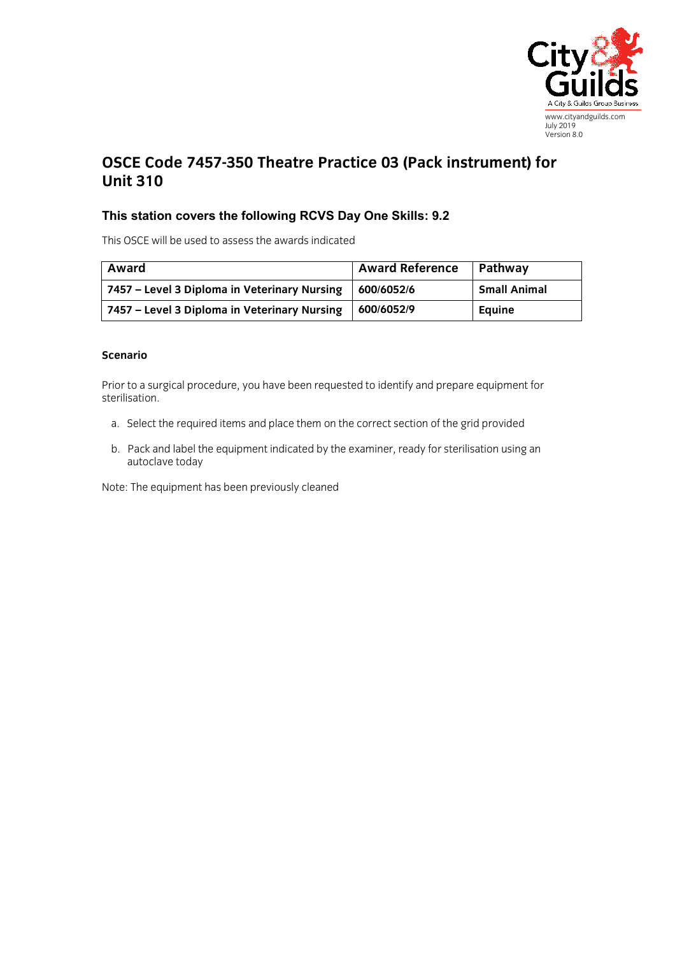

## **OSCE Code 7457-350 Theatre Practice 03 (Pack instrument) for Unit 310**

## **This station covers the following RCVS Day One Skills: 9.2**

This OSCE will be used to assess the awards indicated

| Award                                        | <b>Award Reference</b> | Pathway             |
|----------------------------------------------|------------------------|---------------------|
| 7457 – Level 3 Diploma in Veterinary Nursing | 1600/6052/6            | <b>Small Animal</b> |
| 7457 – Level 3 Diploma in Veterinary Nursing | 1600/6052/9            | Equine              |

## **Scenario**

Prior to a surgical procedure, you have been requested to identify and prepare equipment for sterilisation.

- a. Select the required items and place them on the correct section of the grid provided
- b. Pack and label the equipment indicated by the examiner, ready for sterilisation using an autoclave today

Note: The equipment has been previously cleaned